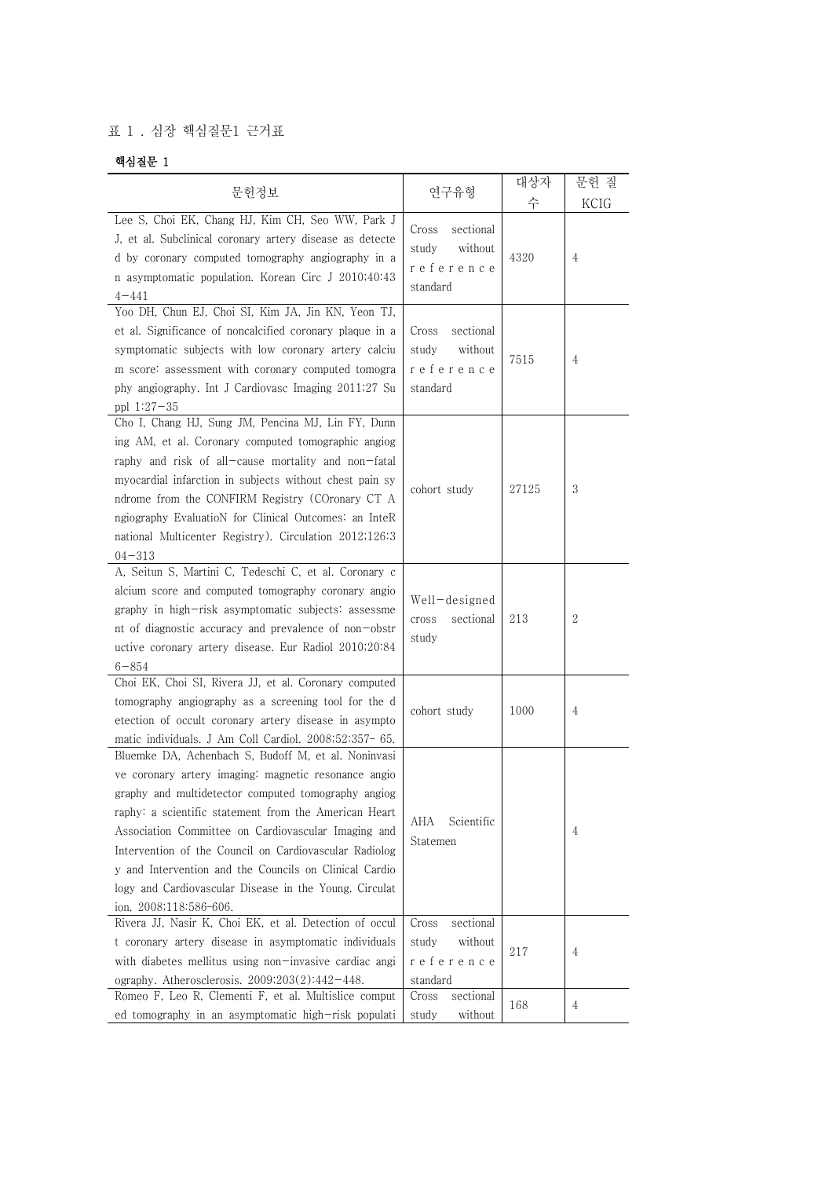## 표 1 . 심장 핵심질문1 근거표

## 핵심질문 1

|                                                                                                                                                                                                                                                                                                                                                                                                                                                                                            |                                                                 | 대상자   | 문헌 질           |
|--------------------------------------------------------------------------------------------------------------------------------------------------------------------------------------------------------------------------------------------------------------------------------------------------------------------------------------------------------------------------------------------------------------------------------------------------------------------------------------------|-----------------------------------------------------------------|-------|----------------|
| 문헌정보                                                                                                                                                                                                                                                                                                                                                                                                                                                                                       | 연구유형                                                            | 수     | KCIG           |
| Lee S, Choi EK, Chang HJ, Kim CH, Seo WW, Park J<br>J, et al. Subclinical coronary artery disease as detecte<br>d by coronary computed tomography angiography in a<br>n asymptomatic population. Korean Circ J 2010;40:43<br>$4 - 441$                                                                                                                                                                                                                                                     | sectional<br>Cross<br>without<br>study<br>reference<br>standard | 4320  | $\overline{4}$ |
| Yoo DH, Chun EJ, Choi SI, Kim JA, Jin KN, Yeon TJ,<br>et al. Significance of noncalcified coronary plaque in a<br>symptomatic subjects with low coronary artery calciu<br>m score: assessment with coronary computed tomogra<br>phy angiography. Int J Cardiovasc Imaging 2011;27 Su<br>ppl $1:27-35$                                                                                                                                                                                      | sectional<br>Cross<br>without<br>study<br>reference<br>standard | 7515  | $\overline{4}$ |
| Cho I, Chang HJ, Sung JM, Pencina MJ, Lin FY, Dunn<br>ing AM, et al. Coronary computed tomographic angiog<br>raphy and risk of all-cause mortality and non-fatal<br>myocardial infarction in subjects without chest pain sy<br>ndrome from the CONFIRM Registry (COronary CT A<br>ngiography EvaluatioN for Clinical Outcomes: an InteR<br>national Multicenter Registry). Circulation 2012;126:3<br>$04 - 313$                                                                            | cohort study                                                    | 27125 | 3              |
| A, Seitun S, Martini C, Tedeschi C, et al. Coronary c<br>alcium score and computed tomography coronary angio<br>graphy in high-risk asymptomatic subjects: assessme<br>nt of diagnostic accuracy and prevalence of non-obstr<br>uctive coronary artery disease. Eur Radiol 2010;20:84<br>$6 - 854$                                                                                                                                                                                         | Well-designed<br>sectional<br>cross<br>study                    | 213   | 2              |
| Choi EK, Choi SI, Rivera JJ, et al. Coronary computed<br>tomography angiography as a screening tool for the d<br>etection of occult coronary artery disease in asympto<br>matic individuals. J Am Coll Cardiol. 2008;52:357- 65.                                                                                                                                                                                                                                                           | cohort study                                                    | 1000  | $\overline{4}$ |
| Bluemke DA, Achenbach S, Budoff M, et al. Noninvasi<br>ve coronary artery imaging: magnetic resonance angio<br>graphy and multidetector computed tomography angiog<br>raphy: a scientific statement from the American Heart<br>Association Committee on Cardiovascular Imaging and<br>Intervention of the Council on Cardiovascular Radiolog<br>y and Intervention and the Councils on Clinical Cardio<br>logy and Cardiovascular Disease in the Young. Circulat<br>ion. 2008;118:586-606. | Scientific<br>AHA<br>Statemen                                   |       | 4              |
| Rivera JJ, Nasir K, Choi EK, et al. Detection of occul<br>t coronary artery disease in asymptomatic individuals<br>with diabetes mellitus using non-invasive cardiac angi<br>ography. Atherosclerosis. $2009;203(2):442-448$ .                                                                                                                                                                                                                                                             | sectional<br>Cross<br>without<br>study<br>reference<br>standard | 217   | 4              |
| Romeo F, Leo R, Clementi F, et al. Multislice comput<br>ed tomography in an asymptomatic high-risk populati                                                                                                                                                                                                                                                                                                                                                                                | sectional<br>Cross<br>without<br>study                          | 168   | 4              |